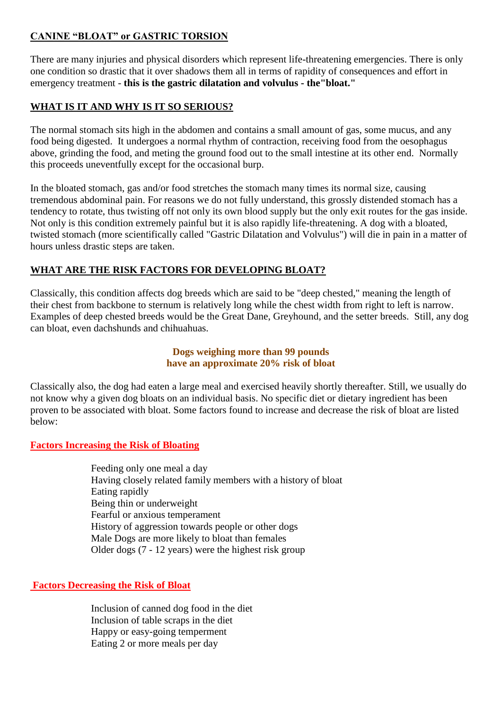# **CANINE "BLOAT" or GASTRIC TORSION**

There are many injuries and physical disorders which represent life-threatening emergencies. There is only one condition so drastic that it over shadows them all in terms of rapidity of consequences and effort in emergency treatment - **this is the gastric dilatation and volvulus - the"bloat."** 

# **WHAT IS IT AND WHY IS IT SO SERIOUS?**

The normal stomach sits high in the abdomen and contains a small amount of gas, some mucus, and any food being digested. It undergoes a normal rhythm of contraction, receiving food from the oesophagus above, grinding the food, and meting the ground food out to the small intestine at its other end. Normally this proceeds uneventfully except for the occasional burp.

In the bloated stomach, gas and/or food stretches the stomach many times its normal size, causing tremendous abdominal pain. For reasons we do not fully understand, this grossly distended stomach has a tendency to rotate, thus twisting off not only its own blood supply but the only exit routes for the gas inside. Not only is this condition extremely painful but it is also rapidly life-threatening. A dog with a bloated, twisted stomach (more scientifically called "Gastric Dilatation and Volvulus") will die in pain in a matter of hours unless drastic steps are taken.

# **WHAT ARE THE RISK FACTORS FOR DEVELOPING BLOAT?**

Classically, this condition affects dog breeds which are said to be "deep chested," meaning the length of their chest from backbone to sternum is relatively long while the chest width from right to left is narrow. Examples of deep chested breeds would be the Great Dane, Greyhound, and the setter breeds. Still, any dog can bloat, even dachshunds and chihuahuas.

## **Dogs weighing more than 99 pounds have an approximate 20% risk of bloat**

Classically also, the dog had eaten a large meal and exercised heavily shortly thereafter. Still, we usually do not know why a given dog bloats on an individual basis. No specific diet or dietary ingredient has been proven to be associated with bloat. Some factors found to increase and decrease the risk of bloat are listed below:

# **Factors Increasing the Risk of Bloating**

Feeding only one meal a day Having closely related family members with a history of bloat Eating rapidly Being thin or underweight Fearful or anxious temperament History of aggression towards people or other dogs Male Dogs are more likely to bloat than females Older dogs (7 - 12 years) were the highest risk group

## **Factors Decreasing the Risk of Bloat**

Inclusion of canned dog food in the diet Inclusion of table scraps in the diet Happy or easy-going temperment Eating 2 or more meals per day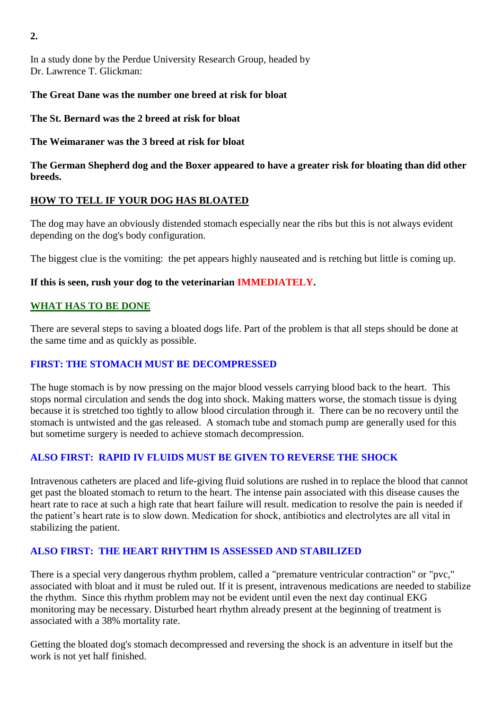In a study done by the Perdue University Research Group, headed by Dr. Lawrence T. Glickman:

## **The Great Dane was the number one breed at risk for bloat**

**The St. Bernard was the 2 breed at risk for bloat** 

**The Weimaraner was the 3 breed at risk for bloat** 

**The German Shepherd dog and the Boxer appeared to have a greater risk for bloating than did other breeds.** 

# **HOW TO TELL IF YOUR DOG HAS BLOATED**

The dog may have an obviously distended stomach especially near the ribs but this is not always evident depending on the dog's body configuration.

The biggest clue is the vomiting: the pet appears highly nauseated and is retching but little is coming up.

## **If this is seen, rush your dog to the veterinarian IMMEDIATELY.**

## **WHAT HAS TO BE DONE**

There are several steps to saving a bloated dogs life. Part of the problem is that all steps should be done at the same time and as quickly as possible.

# **FIRST: THE STOMACH MUST BE DECOMPRESSED**

The huge stomach is by now pressing on the major blood vessels carrying blood back to the heart. This stops normal circulation and sends the dog into shock. Making matters worse, the stomach tissue is dying because it is stretched too tightly to allow blood circulation through it. There can be no recovery until the stomach is untwisted and the gas released. A stomach tube and stomach pump are generally used for this but sometime surgery is needed to achieve stomach decompression.

# **ALSO FIRST: RAPID IV FLUIDS MUST BE GIVEN TO REVERSE THE SHOCK**

Intravenous catheters are placed and life-giving fluid solutions are rushed in to replace the blood that cannot get past the bloated stomach to return to the heart. The intense pain associated with this disease causes the heart rate to race at such a high rate that heart failure will result. medication to resolve the pain is needed if the patient's heart rate is to slow down. Medication for shock, antibiotics and electrolytes are all vital in stabilizing the patient.

# **ALSO FIRST: THE HEART RHYTHM IS ASSESSED AND STABILIZED**

There is a special very dangerous rhythm problem, called a "premature ventricular contraction" or "pvc," associated with bloat and it must be ruled out. If it is present, intravenous medications are needed to stabilize the rhythm. Since this rhythm problem may not be evident until even the next day continual EKG monitoring may be necessary. Disturbed heart rhythm already present at the beginning of treatment is associated with a 38% mortality rate.

Getting the bloated dog's stomach decompressed and reversing the shock is an adventure in itself but the work is not yet half finished.